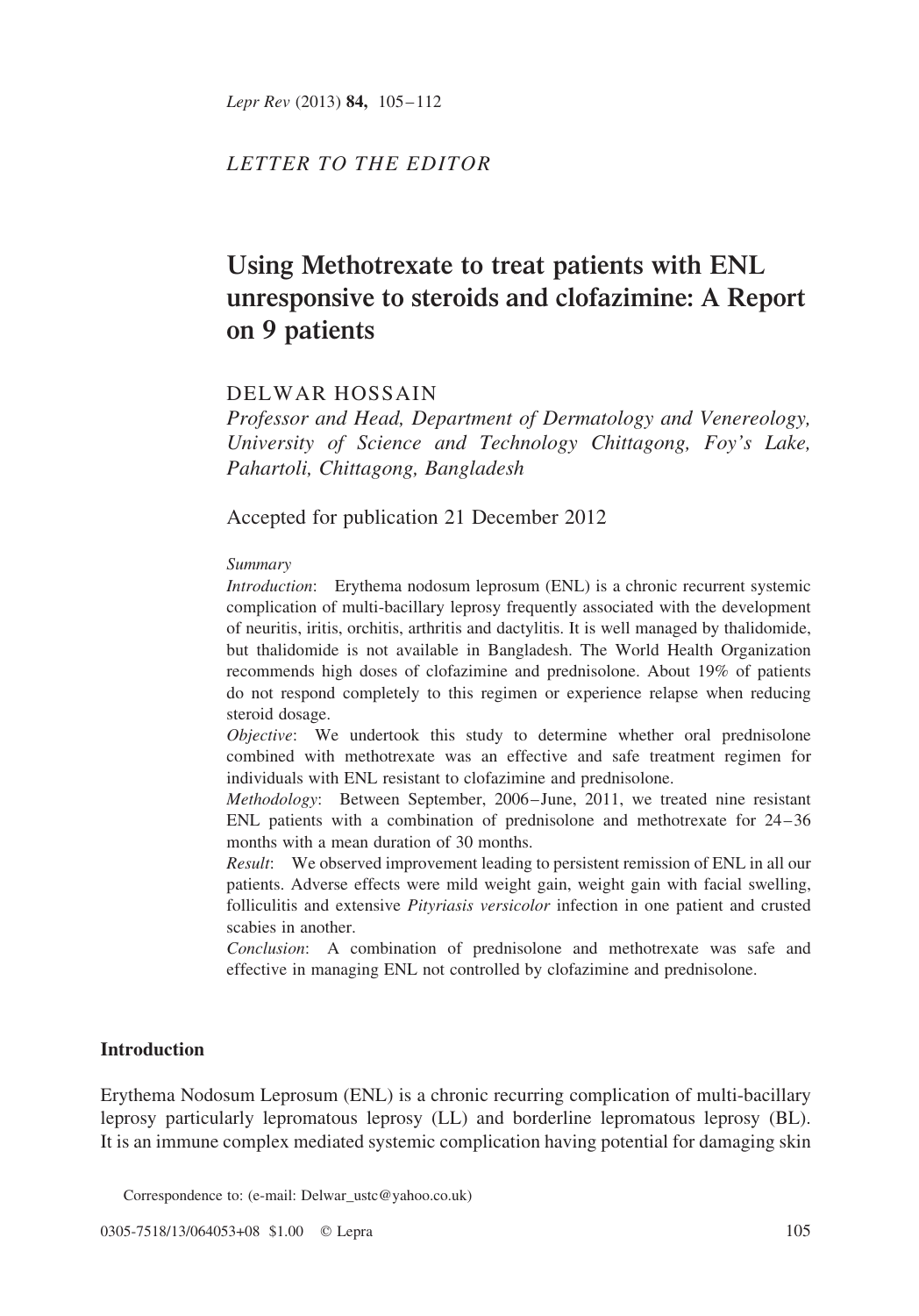Lepr Rev (2013) 84, 105-112

## LETTER TO THE EDITOR

# Using Methotrexate to treat patients with ENL unresponsive to steroids and clofazimine: A Report on 9 patients

## DELWAR HOSSAIN

Professor and Head, Department of Dermatology and Venereology, University of Science and Technology Chittagong, Foy's Lake, Pahartoli, Chittagong, Bangladesh

Accepted for publication 21 December 2012

#### Summary

Introduction: Erythema nodosum leprosum (ENL) is a chronic recurrent systemic complication of multi-bacillary leprosy frequently associated with the development of neuritis, iritis, orchitis, arthritis and dactylitis. It is well managed by thalidomide, but thalidomide is not available in Bangladesh. The World Health Organization recommends high doses of clofazimine and prednisolone. About 19% of patients do not respond completely to this regimen or experience relapse when reducing steroid dosage.

Objective: We undertook this study to determine whether oral prednisolone combined with methotrexate was an effective and safe treatment regimen for individuals with ENL resistant to clofazimine and prednisolone.

Methodology: Between September, 2006–June, 2011, we treated nine resistant ENL patients with a combination of prednisolone and methotrexate for 24–36 months with a mean duration of 30 months.

Result: We observed improvement leading to persistent remission of ENL in all our patients. Adverse effects were mild weight gain, weight gain with facial swelling, folliculitis and extensive *Pityriasis versicolor* infection in one patient and crusted scabies in another.

Conclusion: A combination of prednisolone and methotrexate was safe and effective in managing ENL not controlled by clofazimine and prednisolone.

## Introduction

Erythema Nodosum Leprosum (ENL) is a chronic recurring complication of multi-bacillary leprosy particularly lepromatous leprosy (LL) and borderline lepromatous leprosy (BL). It is an immune complex mediated systemic complication having potential for damaging skin

Correspondence to: (e-mail: Delwar\_ustc@yahoo.co.uk)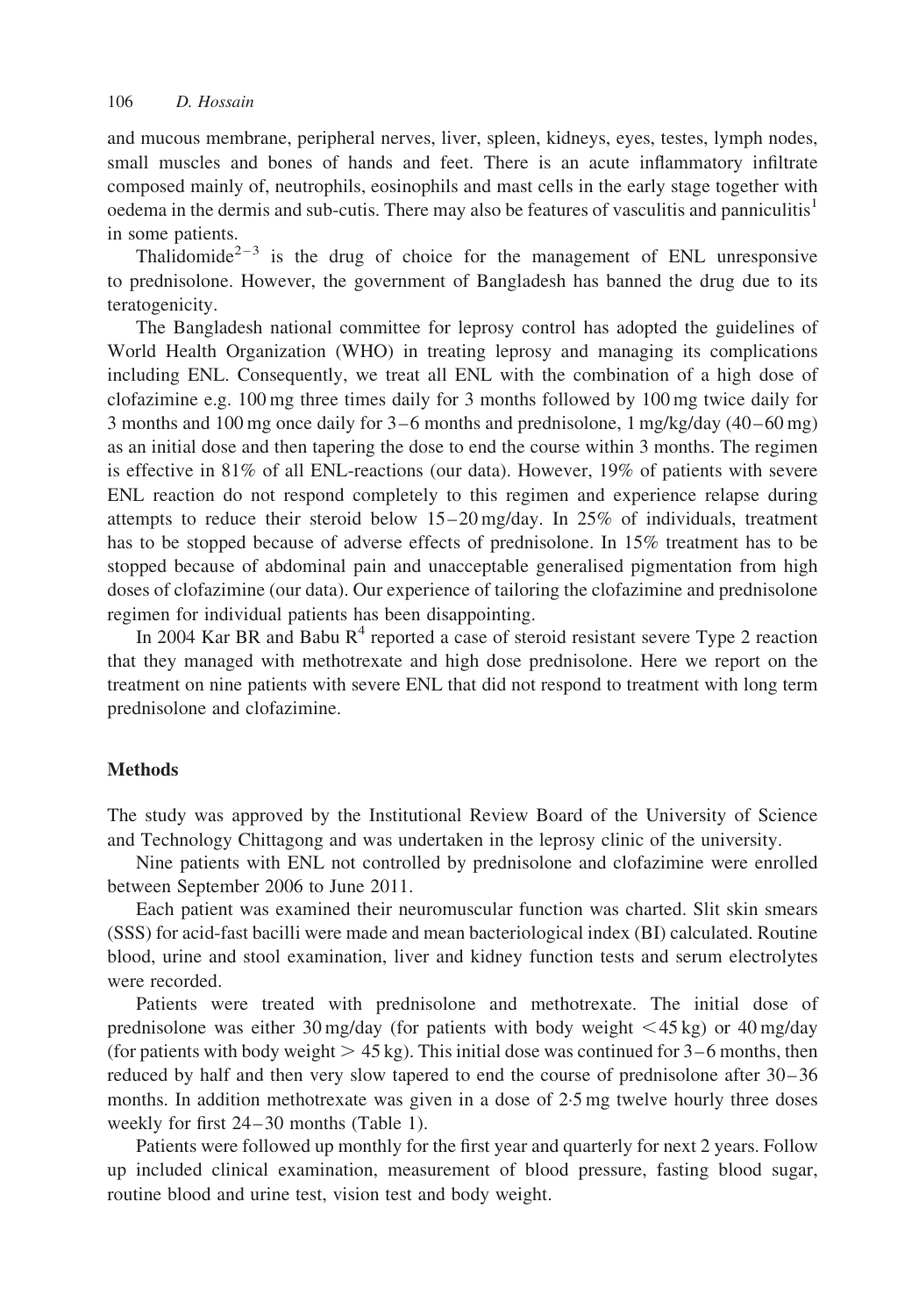and mucous membrane, peripheral nerves, liver, spleen, kidneys, eyes, testes, lymph nodes, small muscles and bones of hands and feet. There is an acute inflammatory infiltrate composed mainly of, neutrophils, eosinophils and mast cells in the early stage together with oedema in the dermis and sub-cutis. There may also be features of vasculitis and panniculitis<sup>[1](#page-7-0)</sup> in some patients.

Thalidomide<sup>2-3</sup> is the drug of choice for the management of ENL unresponsive to prednisolone. However, the government of Bangladesh has banned the drug due to its teratogenicity.

The Bangladesh national committee for leprosy control has adopted the guidelines of World Health Organization (WHO) in treating leprosy and managing its complications including ENL. Consequently, we treat all ENL with the combination of a high dose of clofazimine e.g. 100 mg three times daily for 3 months followed by 100 mg twice daily for 3 months and 100 mg once daily for 3–6 months and prednisolone, 1 mg/kg/day (40–60 mg) as an initial dose and then tapering the dose to end the course within 3 months. The regimen is effective in 81% of all ENL-reactions (our data). However, 19% of patients with severe ENL reaction do not respond completely to this regimen and experience relapse during attempts to reduce their steroid below  $15-20 \text{ mg/day}$ . In  $25\%$  of individuals, treatment has to be stopped because of adverse effects of prednisolone. In 15% treatment has to be stopped because of abdominal pain and unacceptable generalised pigmentation from high doses of clofazimine (our data). Our experience of tailoring the clofazimine and prednisolone regimen for individual patients has been disappointing.

In 200[4](#page-7-0) Kar BR and Babu  $R^4$  reported a case of steroid resistant severe Type 2 reaction that they managed with methotrexate and high dose prednisolone. Here we report on the treatment on nine patients with severe ENL that did not respond to treatment with long term prednisolone and clofazimine.

#### Methods

The study was approved by the Institutional Review Board of the University of Science and Technology Chittagong and was undertaken in the leprosy clinic of the university.

Nine patients with ENL not controlled by prednisolone and clofazimine were enrolled between September 2006 to June 2011.

Each patient was examined their neuromuscular function was charted. Slit skin smears (SSS) for acid-fast bacilli were made and mean bacteriological index (BI) calculated. Routine blood, urine and stool examination, liver and kidney function tests and serum electrolytes were recorded.

Patients were treated with prednisolone and methotrexate. The initial dose of prednisolone was either 30 mg/day (for patients with body weight  $\lt$  45 kg) or 40 mg/day (for patients with body weight  $> 45 \text{ kg}$ ). This initial dose was continued for 3–6 months, then reduced by half and then very slow tapered to end the course of prednisolone after 30–36 months. In addition methotrexate was given in a dose of 2.5 mg twelve hourly three doses weekly for first 24–30 months ([Table 1\)](#page-2-0).

Patients were followed up monthly for the first year and quarterly for next 2 years. Follow up included clinical examination, measurement of blood pressure, fasting blood sugar, routine blood and urine test, vision test and body weight.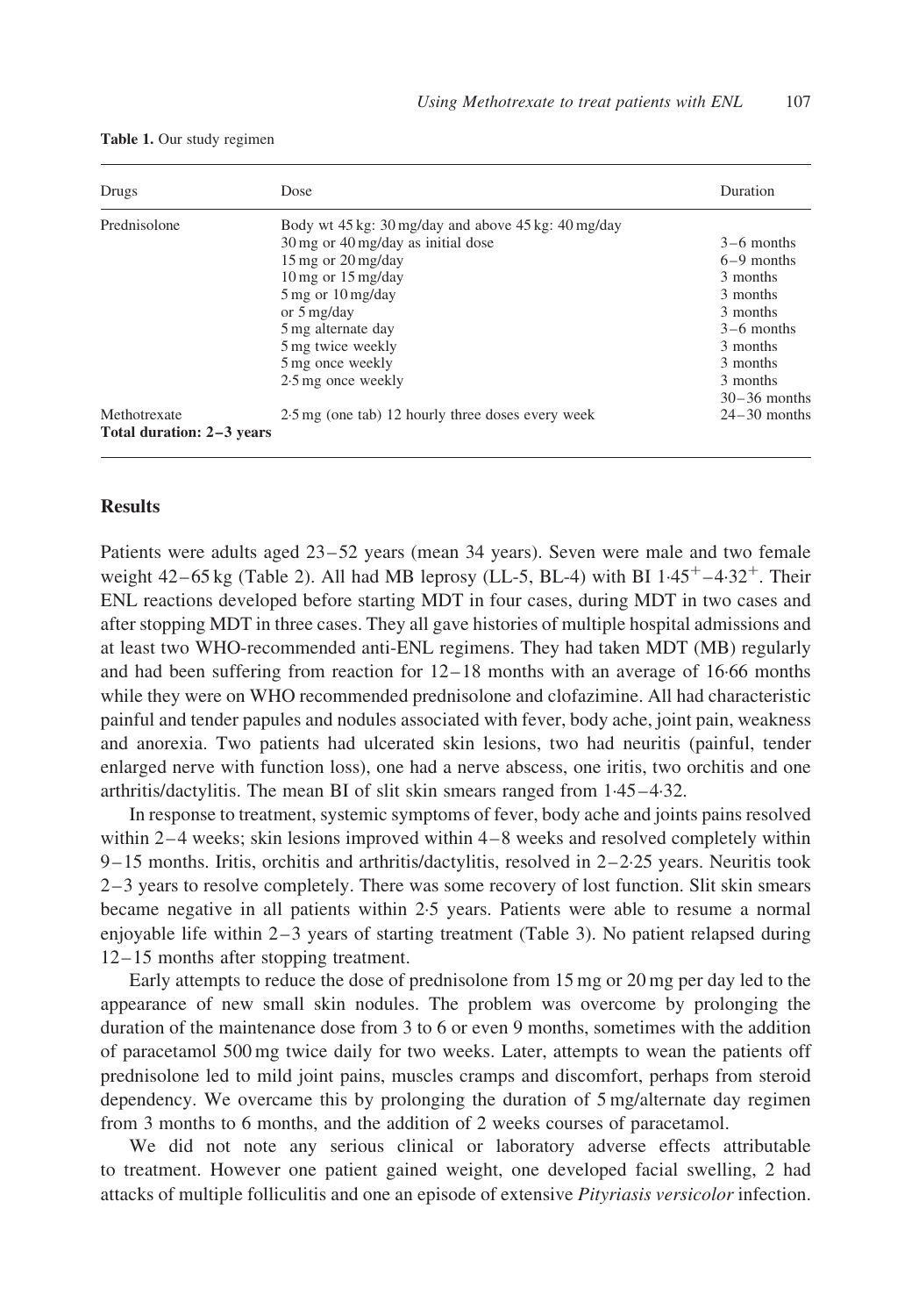| Drugs                                     | Dose                                                         | Duration       |
|-------------------------------------------|--------------------------------------------------------------|----------------|
| Prednisolone                              | Body wt 45 kg: 30 mg/day and above 45 kg: 40 mg/day          |                |
|                                           | $30 \,\mathrm{mg}$ or $40 \,\mathrm{mg/day}$ as initial dose | $3-6$ months   |
|                                           | $15 \,\mathrm{mg}$ or $20 \,\mathrm{mg/day}$                 | $6-9$ months   |
|                                           | $10 \,\mathrm{mg}$ or $15 \,\mathrm{mg/day}$                 | 3 months       |
|                                           | $5 \text{ mg}$ or $10 \text{ mg/day}$                        | 3 months       |
|                                           | or $5 \frac{\text{mg}}{\text{day}}$                          | 3 months       |
|                                           | 5 mg alternate day                                           | $3-6$ months   |
|                                           | 5 mg twice weekly                                            | 3 months       |
|                                           | 5 mg once weekly                                             | 3 months       |
|                                           | 2.5 mg once weekly                                           | 3 months       |
|                                           |                                                              | $30-36$ months |
| Methotrexate<br>Total duration: 2–3 years | 2.5 mg (one tab) 12 hourly three doses every week            | $24-30$ months |

<span id="page-2-0"></span>Table 1. Our study regimen

## Results

Patients were adults aged 23–52 years (mean 34 years). Seven were male and two female weight  $42-65$  kg ([Table 2\)](#page-3-0). All had MB leprosy (LL-5, BL-4) with BI  $1.45<sup>+</sup> -4.32<sup>+</sup>$ . Their ENL reactions developed before starting MDT in four cases, during MDT in two cases and after stopping MDT in three cases. They all gave histories of multiple hospital admissions and at least two WHO-recommended anti-ENL regimens. They had taken MDT (MB) regularly and had been suffering from reaction for 12–18 months with an average of 16·66 months while they were on WHO recommended prednisolone and clofazimine. All had characteristic painful and tender papules and nodules associated with fever, body ache, joint pain, weakness and anorexia. Two patients had ulcerated skin lesions, two had neuritis (painful, tender enlarged nerve with function loss), one had a nerve abscess, one iritis, two orchitis and one arthritis/dactylitis. The mean BI of slit skin smears ranged from 1·45–4·32.

In response to treatment, systemic symptoms of fever, body ache and joints pains resolved within 2–4 weeks; skin lesions improved within 4–8 weeks and resolved completely within  $9-15$  months. Iritis, orchitis and arthritis/dactylitis, resolved in  $2-2.25$  years. Neuritis took 2–3 years to resolve completely. There was some recovery of lost function. Slit skin smears became negative in all patients within 2·5 years. Patients were able to resume a normal enjoyable life within 2–3 years of starting treatment [\(Table 3](#page-4-0)). No patient relapsed during 12–15 months after stopping treatment.

Early attempts to reduce the dose of prednisolone from 15 mg or 20 mg per day led to the appearance of new small skin nodules. The problem was overcome by prolonging the duration of the maintenance dose from 3 to 6 or even 9 months, sometimes with the addition of paracetamol 500 mg twice daily for two weeks. Later, attempts to wean the patients off prednisolone led to mild joint pains, muscles cramps and discomfort, perhaps from steroid dependency. We overcame this by prolonging the duration of 5 mg/alternate day regimen from 3 months to 6 months, and the addition of 2 weeks courses of paracetamol.

We did not note any serious clinical or laboratory adverse effects attributable to treatment. However one patient gained weight, one developed facial swelling, 2 had attacks of multiple folliculitis and one an episode of extensive Pityriasis versicolor infection.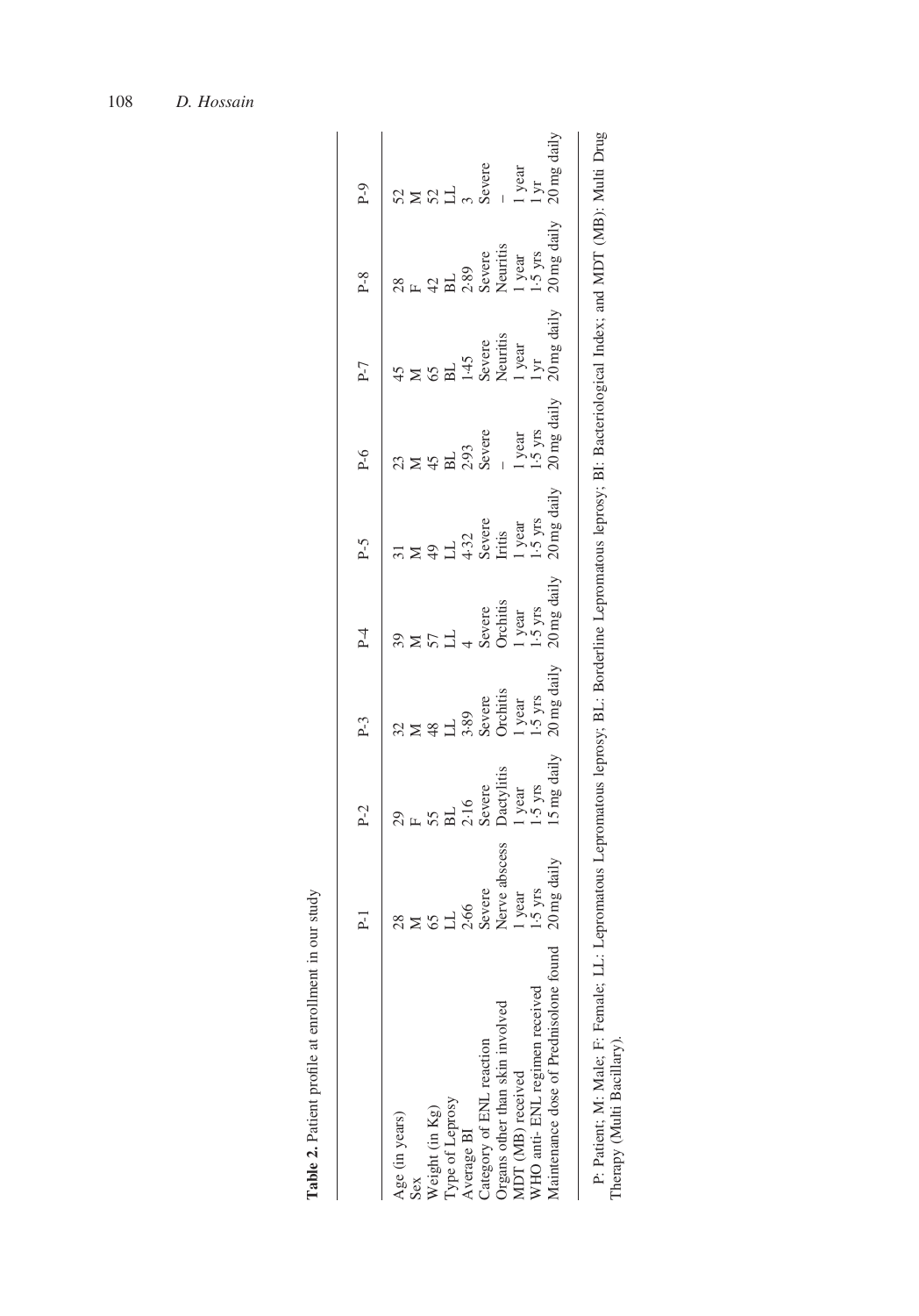<span id="page-3-0"></span>

|                                           | $P-1$ | $P-2$                                                                                      | $P-3$                                                                                                                                                           | $P-4$                                                                                                                                                                                                                                                                                                    | $P-5$                                                                                                                                                                                                 | $P-6$                                                                                          | $P-7$                                                                                                                                                                                                                                                                                                                                                  | $P-8$                                                                                                                                                                                                                                                                                                                                                   | $P-9$                                                                                                                                                         |
|-------------------------------------------|-------|--------------------------------------------------------------------------------------------|-----------------------------------------------------------------------------------------------------------------------------------------------------------------|----------------------------------------------------------------------------------------------------------------------------------------------------------------------------------------------------------------------------------------------------------------------------------------------------------|-------------------------------------------------------------------------------------------------------------------------------------------------------------------------------------------------------|------------------------------------------------------------------------------------------------|--------------------------------------------------------------------------------------------------------------------------------------------------------------------------------------------------------------------------------------------------------------------------------------------------------------------------------------------------------|---------------------------------------------------------------------------------------------------------------------------------------------------------------------------------------------------------------------------------------------------------------------------------------------------------------------------------------------------------|---------------------------------------------------------------------------------------------------------------------------------------------------------------|
| Age (in years)                            |       |                                                                                            |                                                                                                                                                                 |                                                                                                                                                                                                                                                                                                          |                                                                                                                                                                                                       |                                                                                                |                                                                                                                                                                                                                                                                                                                                                        |                                                                                                                                                                                                                                                                                                                                                         |                                                                                                                                                               |
| Sex                                       |       |                                                                                            |                                                                                                                                                                 |                                                                                                                                                                                                                                                                                                          |                                                                                                                                                                                                       |                                                                                                |                                                                                                                                                                                                                                                                                                                                                        |                                                                                                                                                                                                                                                                                                                                                         |                                                                                                                                                               |
| Weight (in Kg)                            |       |                                                                                            |                                                                                                                                                                 |                                                                                                                                                                                                                                                                                                          |                                                                                                                                                                                                       |                                                                                                |                                                                                                                                                                                                                                                                                                                                                        |                                                                                                                                                                                                                                                                                                                                                         |                                                                                                                                                               |
| Type of Leprosy                           |       |                                                                                            |                                                                                                                                                                 |                                                                                                                                                                                                                                                                                                          |                                                                                                                                                                                                       |                                                                                                |                                                                                                                                                                                                                                                                                                                                                        |                                                                                                                                                                                                                                                                                                                                                         |                                                                                                                                                               |
| Average BI                                |       |                                                                                            |                                                                                                                                                                 |                                                                                                                                                                                                                                                                                                          |                                                                                                                                                                                                       |                                                                                                |                                                                                                                                                                                                                                                                                                                                                        |                                                                                                                                                                                                                                                                                                                                                         |                                                                                                                                                               |
| Category of ENL reaction                  |       |                                                                                            |                                                                                                                                                                 |                                                                                                                                                                                                                                                                                                          |                                                                                                                                                                                                       |                                                                                                |                                                                                                                                                                                                                                                                                                                                                        |                                                                                                                                                                                                                                                                                                                                                         |                                                                                                                                                               |
| Organs other than skin involved           |       |                                                                                            |                                                                                                                                                                 |                                                                                                                                                                                                                                                                                                          |                                                                                                                                                                                                       |                                                                                                |                                                                                                                                                                                                                                                                                                                                                        |                                                                                                                                                                                                                                                                                                                                                         |                                                                                                                                                               |
| MDT (MB) received                         |       |                                                                                            |                                                                                                                                                                 |                                                                                                                                                                                                                                                                                                          |                                                                                                                                                                                                       |                                                                                                |                                                                                                                                                                                                                                                                                                                                                        |                                                                                                                                                                                                                                                                                                                                                         |                                                                                                                                                               |
| WHO anti-ENL regimen received             |       |                                                                                            |                                                                                                                                                                 |                                                                                                                                                                                                                                                                                                          |                                                                                                                                                                                                       |                                                                                                |                                                                                                                                                                                                                                                                                                                                                        |                                                                                                                                                                                                                                                                                                                                                         |                                                                                                                                                               |
| found<br>Maintenance dose of Prednisolone |       | $29$<br>F<br>$55$<br>$35$<br>$31$<br>$3216$<br>$3216$<br>$3215$<br>$3215$<br>$15$ mg daily | 32<br>$M \times 48$<br>$3.89$<br>$3.89$<br>$3.89$<br>$3.89$<br>$3.89$<br>$3.89$<br>$3.89$<br>$3.89$<br>$3.89$<br>$3.89$<br>$3.89$<br>$3.89$<br>$3.89$<br>$3.89$ | $39$<br>$57$<br>$-1$<br>$-4$<br>$-4$<br>$-1$<br>$-5$<br>$-5$<br>$-1$<br>$-5$<br>$-2$<br>$-2$<br>$-2$<br>$-2$<br>$-2$<br>$-2$<br>$-2$<br>$-2$<br>$-2$<br>$-2$<br>$-2$<br>$-2$<br>$-2$<br>$-2$<br>$-2$<br>$-2$<br>$-2$<br>$-2$<br>$-2$<br>$-2$<br>$-2$<br>$-2$<br>$-2$<br>$-2$<br>$-2$<br>$-2$<br>$-2$<br> | 31<br>$X \cong 4$<br>$X \cong 3$<br>$X \cong 3$<br>$X \cong 3$<br>$X \cong 3$<br>$X \cong 3$<br>$X \cong 3$<br>$X \cong 3$<br>$X \cong 3$<br>$X \cong 3$<br>$X \cong 3$<br>$X \cong 3$<br>$X \cong 3$ | $23$<br>$245$<br>$293$<br>$293$<br>$293$<br>$293$<br>$293$<br>$293$<br>$293$<br>$293$<br>$293$ | 45<br>M<br>M<br>G<br>G<br>H<br>$\frac{1}{45}$<br>$\frac{1}{45}$<br>$\frac{1}{5}$<br>$\frac{1}{2}$<br>$\frac{1}{2}$<br>$\frac{1}{2}$<br>$\frac{1}{2}$<br>$\frac{1}{2}$<br>$\frac{1}{2}$<br>$\frac{1}{2}$<br>$\frac{1}{2}$<br>$\frac{1}{2}$<br>$\frac{1}{2}$<br>$\frac{1}{2}$<br>$\frac{1}{2}$<br>$\frac{1}{2}$<br>$\frac{1}{2}$<br>$\frac{1}{2}$<br>$\$ | 28<br>F<br>$\frac{1}{2}$<br>$\frac{1}{2}$<br>$\frac{1}{2}$<br>$\frac{1}{2}$<br>$\frac{1}{2}$<br>$\frac{1}{2}$<br>$\frac{1}{2}$<br>$\frac{1}{2}$<br>$\frac{1}{2}$<br>$\frac{1}{2}$<br>$\frac{1}{2}$<br>$\frac{1}{2}$<br>$\frac{1}{2}$<br>$\frac{1}{2}$<br>$\frac{1}{2}$<br>$\frac{1}{2}$<br>$\frac{1}{2}$<br>$\frac{1}{2}$<br>$\frac{1}{2}$<br>$\frac{1$ | $\begin{array}{l}\n 52 \\  52 \\  53 \\  -35 \\  -45 \\  -15 \\  -15 \\  -15 \\  -15 \\  -15 \\  -15 \\  -15 \\  -15 \\  -20 \\  \text{mg daily} \end{array}$ |
| 1 - 1 - 1 - 1 - 1 - 1 - 1                 |       |                                                                                            | - 1 1 1 1 1 1 1 1 1                                                                                                                                             |                                                                                                                                                                                                                                                                                                          |                                                                                                                                                                                                       |                                                                                                |                                                                                                                                                                                                                                                                                                                                                        | $\begin{bmatrix} 1 & 1 & 1 & 1 \\ 1 & 1 & 1 & 1 \\ 1 & 1 & 1 & 1 \\ 1 & 1 & 1 & 1 \end{bmatrix}$                                                                                                                                                                                                                                                        |                                                                                                                                                               |

Table 2. Patient profile at enrollment in our study

Table 2. Patient profile at enrollment in our study

P: Patient; M: Male; F: Female; LL: Lepromatous Lepromatous leprosy; BL: Borderline Lepromatous leprosy; BI: Bacteriological Index; and MDT (MB): Multi Drug<br>Therapy (Multi Bacillary). P: Patient; M: Male; F: Female; LL: Lepromatous Lepromatous leprosy; BL: Borderline Lepromatous leprosy; BI: Bacteriological Index; and MDT (MB): Multi Drug Therapy (Multi Bacillary).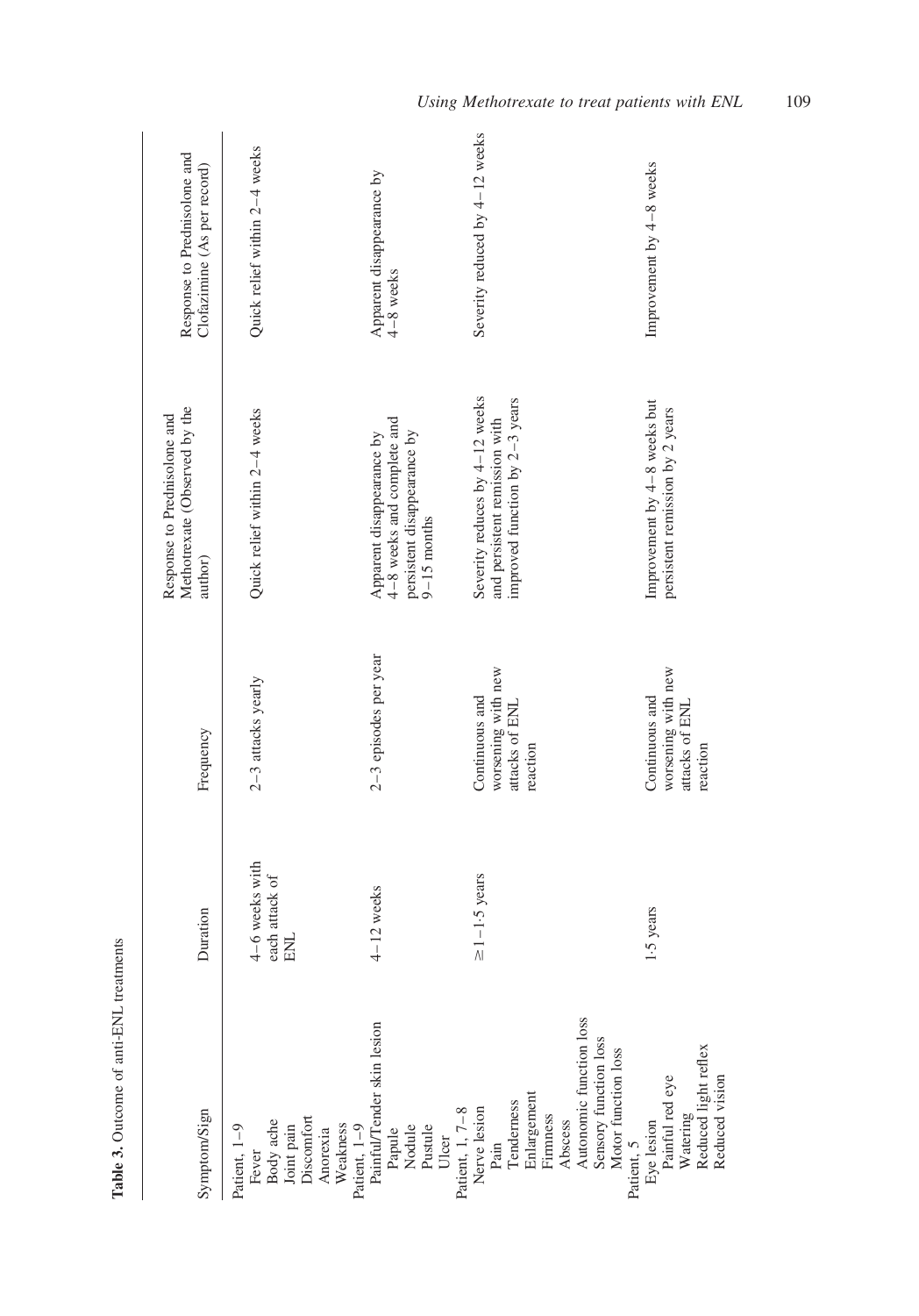<span id="page-4-0"></span>

|                                                                                                                                                                                                                                                                                                                                                     |                                                |                                                                    | Methotrexate (Observed by the<br>Response to Prednisolone and                                             | Response to Prednisolone and           |
|-----------------------------------------------------------------------------------------------------------------------------------------------------------------------------------------------------------------------------------------------------------------------------------------------------------------------------------------------------|------------------------------------------------|--------------------------------------------------------------------|-----------------------------------------------------------------------------------------------------------|----------------------------------------|
| Symptom/Sign                                                                                                                                                                                                                                                                                                                                        | Duration                                       | Frequency                                                          | author)                                                                                                   | Clofazimine (As per record)            |
| Patient, 1-9                                                                                                                                                                                                                                                                                                                                        | 4-6 weeks with<br>each attack of<br><b>ENL</b> | 2-3 attacks yearly                                                 | Quick relief within 2-4 weeks                                                                             | Quick relief within 2-4 weeks          |
|                                                                                                                                                                                                                                                                                                                                                     | $4 - 12$ weeks                                 | 2-3 episodes per year                                              | 4-8 weeks and complete and<br>persistent disappearance by<br>Apparent disappearance by<br>$9 - 15$ months | Apparent disappearance by<br>4-8 weeks |
| Autonomic function loss<br>Fever<br>Body ache<br>Body ache<br>Discomfort<br>Discomfort<br>N'ealten, 1–9<br>Patient, 1–9<br>Patient, 1–9<br>Patient, 1, 7–8<br>Nodule<br>Nodule<br>Patient, 1, 7–8<br>Patient, 1, 7–8<br>Patient, 1, 7–8<br>Patient, 1, 7–8<br>Patient, 1, 7–8<br>Patient<br>Sensory function loss<br>Motor function loss<br>Abscess | $\geq$ 1-1.5 years                             | worsening with new<br>Continuous and<br>attacks of ENL<br>reaction | Severity reduces by 4-12 weeks<br>improved function by 2-3 years<br>and persistent remission with         | Severity reduced by 4-12 weeks         |
| Patient, 5<br>Eye lesion<br>Painful red eye<br>Watering<br>Watering<br>Reduced vision                                                                                                                                                                                                                                                               | 1.5 years                                      | worsening with new<br>Continuous and<br>attacks of ENL<br>reaction | Improvement by 4-8 weeks but<br>persistent remission by 2 years                                           | Improvement by 4-8 weeks               |

Table 3. Outcome of anti-ENL treatments Table 3. Outcome of anti-ENL treatments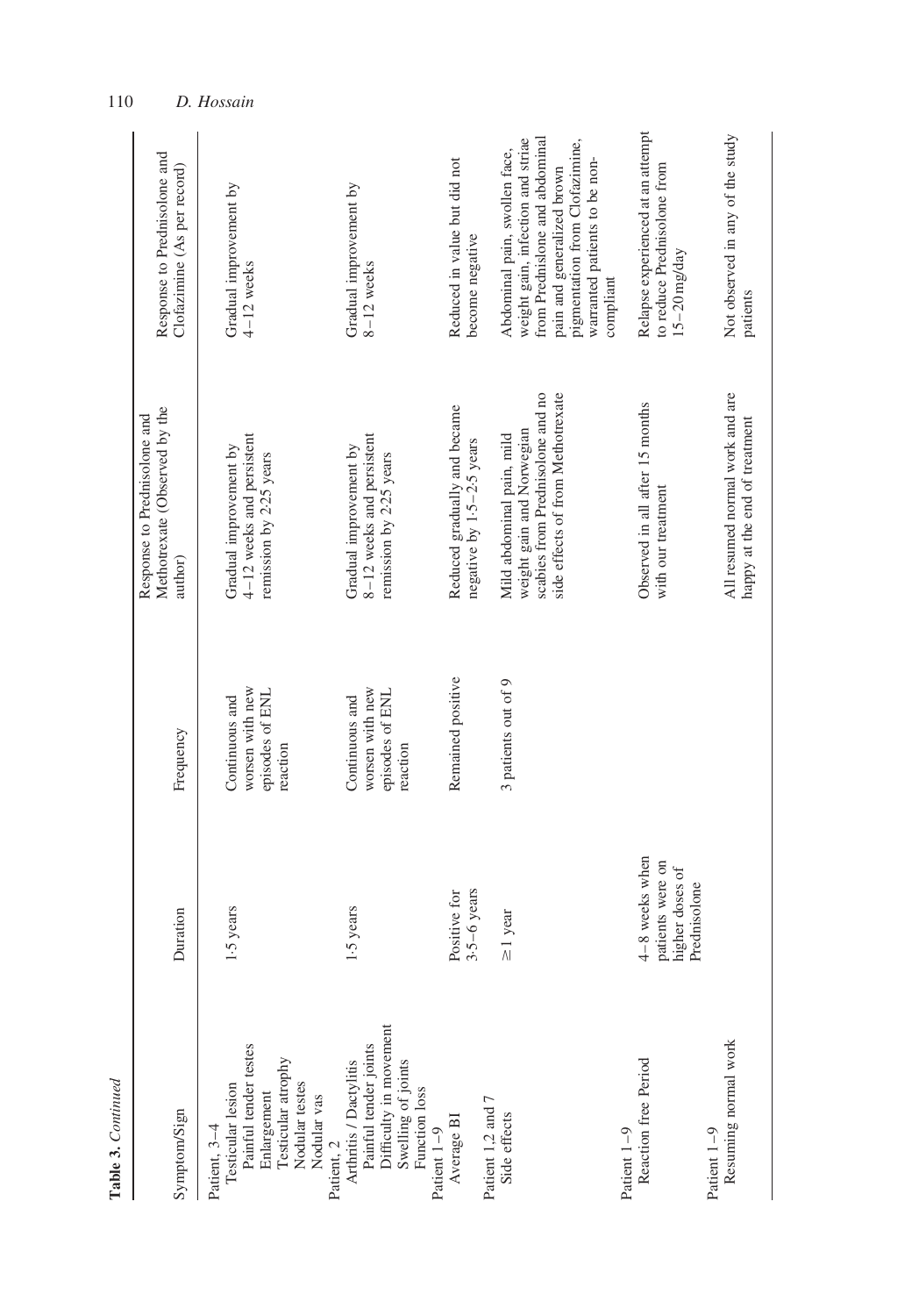| Table 3. Continued                                                                                                                            |                                                                         |                                                                  |                                                                                                                                 |                                                                                                                                                                                                                    |
|-----------------------------------------------------------------------------------------------------------------------------------------------|-------------------------------------------------------------------------|------------------------------------------------------------------|---------------------------------------------------------------------------------------------------------------------------------|--------------------------------------------------------------------------------------------------------------------------------------------------------------------------------------------------------------------|
| Symptom/Sign                                                                                                                                  | Duration                                                                | Frequency                                                        | Methotrexate (Observed by the<br>Response to Prednisolone and<br>author)                                                        | Response to Prednisolone and<br>Clofazimine (As per record)                                                                                                                                                        |
| Painful tender testes<br>Enlargement<br>Testicular atrophy<br>Patient, 3-4<br>Testicular lesion<br>Nodular testes<br>Nodular vas              | 1.5 years                                                               | worsen with new<br>episodes of ENL<br>Continuous and<br>reaction | 4–12 weeks and persistent<br>Gradual improvement by<br>remission by 2.25 years                                                  | Gradual improvement by<br>$4-12$ weeks                                                                                                                                                                             |
| Painful tender joints<br>Difficulty in movement<br>Patient, 2<br>Arthritis / Dactylitis<br>Swelling of joints<br>Function loss<br>Patient 1-9 | 1.5 years                                                               | worsen with new<br>episodes of ENL<br>Continuous and<br>reaction | 8-12 weeks and persistent<br>Gradual improvement by<br>remission by 2.25 years                                                  | Gradual improvement by<br>8-12 weeks                                                                                                                                                                               |
| Patient 1,2 and 7<br>Average BI                                                                                                               | Positive for<br>$3-5-6$ years                                           | Remained positive                                                | Reduced gradually and became<br>negative by 1.5-2.5 years                                                                       | Reduced in value but did not<br>become negative                                                                                                                                                                    |
| Side effects                                                                                                                                  | $\geq$ 1 year                                                           | 3 patients out of 9                                              | scabies from Prednisolone and no<br>side effects of from Methotrexate<br>weight gain and Norwegian<br>Mild abdominal pain, mild | weight gain, infection and striae<br>from Prednislone and abdominal<br>pigmentation from Clofazimine,<br>Abdominal pain, swollen face,<br>warranted patients to be non-<br>pain and generalized brown<br>compliant |
| Reaction free Period<br>Patient 1-9                                                                                                           | $4-8$ weeks when<br>patients were on<br>higher doses of<br>Prednisolone |                                                                  | Observed in all after 15 months<br>with our treatment                                                                           | Relapse experienced at an attempt<br>to reduce Prednisolone from<br>$15 - 20$ mg/day                                                                                                                               |
| Resuming normal work<br>Patient 1-9                                                                                                           |                                                                         |                                                                  | All resumed normal work and are<br>happy at the end of treatment                                                                | Not observed in any of the study<br>patients                                                                                                                                                                       |

110 D. Hossain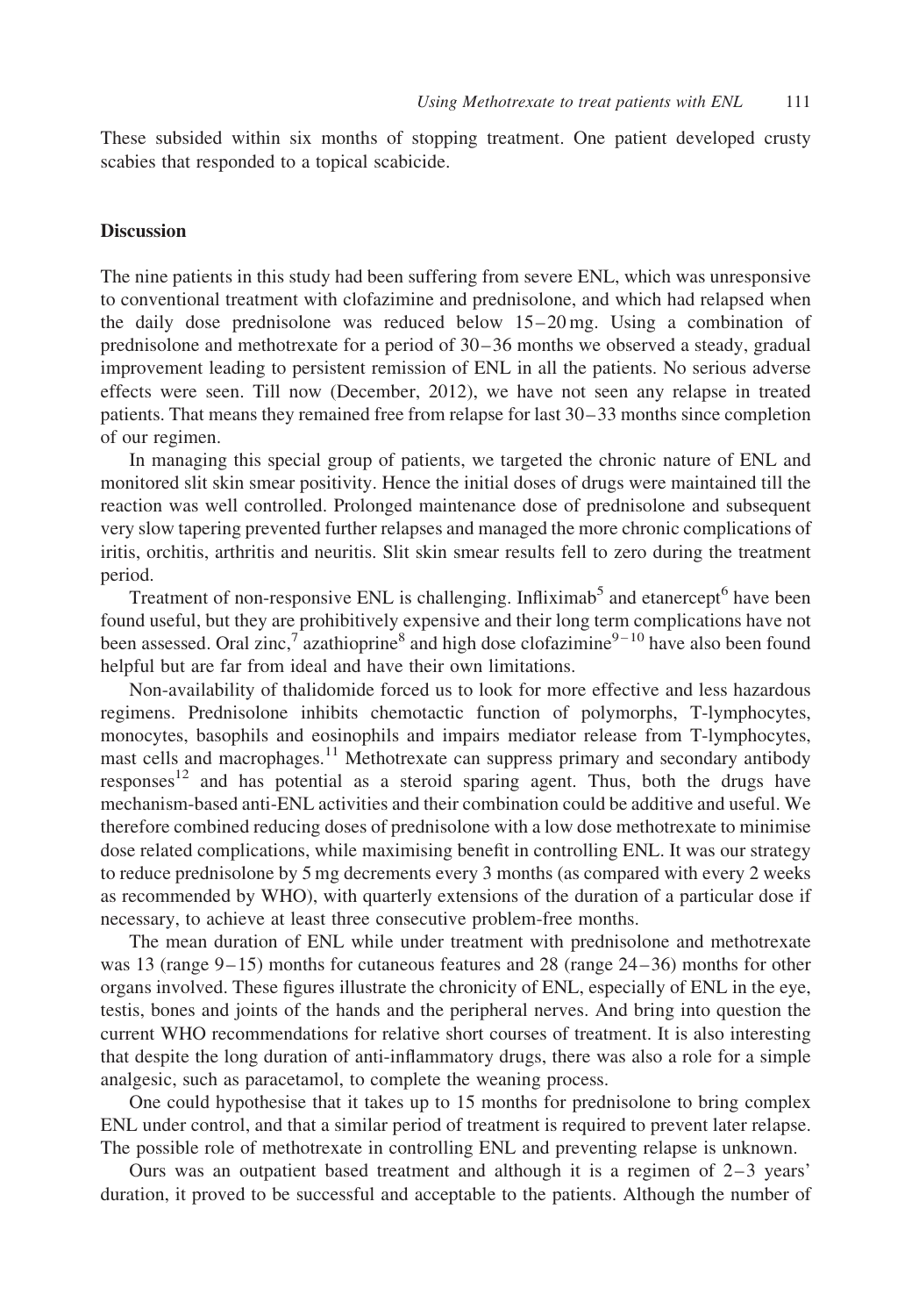These subsided within six months of stopping treatment. One patient developed crusty scabies that responded to a topical scabicide.

## **Discussion**

The nine patients in this study had been suffering from severe ENL, which was unresponsive to conventional treatment with clofazimine and prednisolone, and which had relapsed when the daily dose prednisolone was reduced below 15–20 mg. Using a combination of prednisolone and methotrexate for a period of 30–36 months we observed a steady, gradual improvement leading to persistent remission of ENL in all the patients. No serious adverse effects were seen. Till now (December, 2012), we have not seen any relapse in treated patients. That means they remained free from relapse for last 30–33 months since completion of our regimen.

In managing this special group of patients, we targeted the chronic nature of ENL and monitored slit skin smear positivity. Hence the initial doses of drugs were maintained till the reaction was well controlled. Prolonged maintenance dose of prednisolone and subsequent very slow tapering prevented further relapses and managed the more chronic complications of iritis, orchitis, arthritis and neuritis. Slit skin smear results fell to zero during the treatment period.

Treatment of non-responsive ENL is challenging. Infliximab<sup>[5](#page-7-0)</sup> and etanercept<sup>[6](#page-7-0)</sup> have been found useful, but they are prohibitively expensive and their long term complications have not been assessed. Oral zinc,<sup>[7](#page-7-0)</sup> azathioprine<sup>[8](#page-7-0)</sup> and high dose clofazimine<sup>9-10</sup> have also been found helpful but are far from ideal and have their own limitations.

Non-availability of thalidomide forced us to look for more effective and less hazardous regimens. Prednisolone inhibits chemotactic function of polymorphs, T-lymphocytes, monocytes, basophils and eosinophils and impairs mediator release from T-lymphocytes, mast cells and macrophages.<sup>[11](#page-7-0)</sup> Methotrexate can suppress primary and secondary antibody responses<sup>[12](#page-7-0)</sup> and has potential as a steroid sparing agent. Thus, both the drugs have mechanism-based anti-ENL activities and their combination could be additive and useful. We therefore combined reducing doses of prednisolone with a low dose methotrexate to minimise dose related complications, while maximising benefit in controlling ENL. It was our strategy to reduce prednisolone by 5 mg decrements every 3 months (as compared with every 2 weeks as recommended by WHO), with quarterly extensions of the duration of a particular dose if necessary, to achieve at least three consecutive problem-free months.

The mean duration of ENL while under treatment with prednisolone and methotrexate was 13 (range 9–15) months for cutaneous features and 28 (range 24–36) months for other organs involved. These figures illustrate the chronicity of ENL, especially of ENL in the eye, testis, bones and joints of the hands and the peripheral nerves. And bring into question the current WHO recommendations for relative short courses of treatment. It is also interesting that despite the long duration of anti-inflammatory drugs, there was also a role for a simple analgesic, such as paracetamol, to complete the weaning process.

One could hypothesise that it takes up to 15 months for prednisolone to bring complex ENL under control, and that a similar period of treatment is required to prevent later relapse. The possible role of methotrexate in controlling ENL and preventing relapse is unknown.

Ours was an outpatient based treatment and although it is a regimen of  $2-3$  years' duration, it proved to be successful and acceptable to the patients. Although the number of